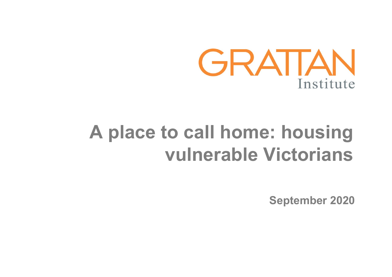

# **A place to call home: housing vulnerable Victorians**

**September 2020**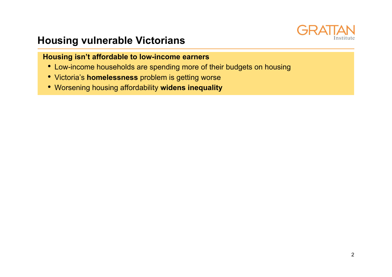

### **Housing vulnerable Victorians**

#### **Housing isn't affordable to low-income earners**

- Low-income households are spending more of their budgets on housing
- Victoria's **homelessness** problem is getting worse
- Worsening housing affordability **widens inequality**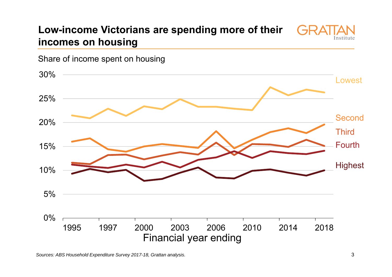#### **Low-income Victorians are spending more of their**   $GIR$ **incomes on housing**



Share of income spent on housing

*Sources: ABS Household Expenditure Survey 2017-18, Grattan analysis.*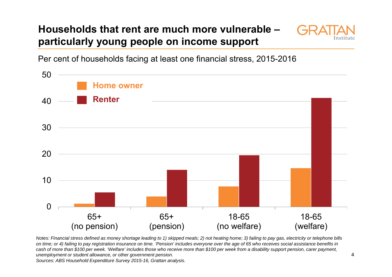### **Households that rent are much more vulnerable – particularly young people on income support**



Per cent of households facing at least one financial stress, 2015-2016



*Notes: Financial stress defined as money shortage leading to 1) skipped meals; 2) not heating home; 3) failing to pay gas, electricity or telephone bills on time; or 4) failing to pay registration insurance on time. 'Pension' includes everyone over the age of 65 who receives social assistance benefits in cash of more than \$100 per week. 'Welfare' includes those who receive more than \$100 per week from a disability support pension, carer payment, unemployment or student allowance, or other government pension. Sources: ABS Household Expenditure Survey 2015-16, Grattan analysis.*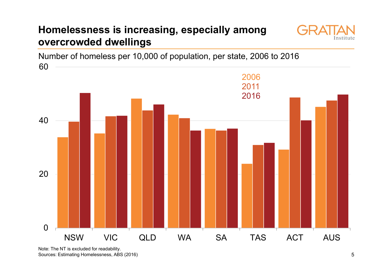### **Homelessness is increasing, especially among overcrowded dwellings**



Number of homeless per 10,000 of population, per state, 2006 to 2016



Note: The NT is excluded for readability. Sources: Estimating Homelessness, ABS (2016)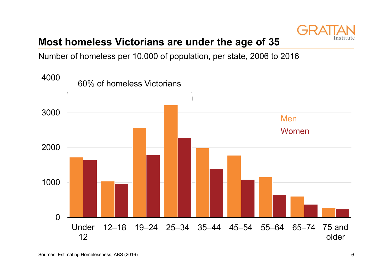

### **Most homeless Victorians are under the age of 35**

Number of homeless per 10,000 of population, per state, 2006 to 2016

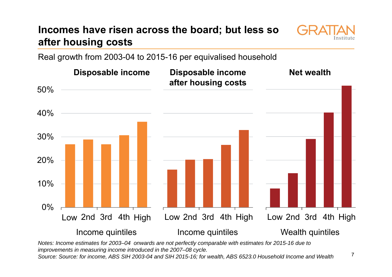### **Incomes have risen across the board; but less so after housing costs**



Real growth from 2003-04 to 2015-16 per equivalised household



*Notes: Income estimates for 2003–04 onwards are not perfectly comparable with estimates for 2015-16 due to improvements in measuring income introduced in the 2007–08 cycle.* 

*Source: Source: for income, ABS SIH 2003-04 and SIH 2015-16; for wealth, ABS 6523.0 Household Income and Wealth*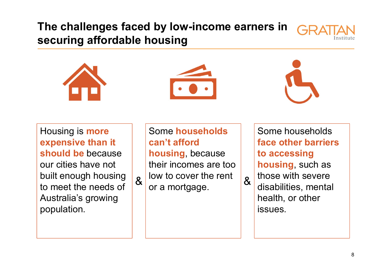### **The challenges faced by low-income earners in securing affordable housing**









Housing is **more expensive than it should be** because our cities have not built enough housing to meet the needs of Australia's growing population.

Some **householdscan't afford housing**, because their incomes are too low to cover the rent  $\alpha$  low to cover the rent  $\alpha$ 

Some households **face other barriers to accessing housing**, such as those with severe disabilities, mental health, or other issues.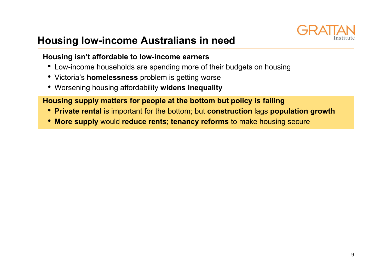

### **Housing low-income Australians in need**

#### **Housing isn't affordable to low-income earners**

- Low-income households are spending more of their budgets on housing
- Victoria's **homelessness** problem is getting worse
- Worsening housing affordability **widens inequality**

#### **Housing supply matters for people at the bottom but policy is failing**

- **Private rental** is important for the bottom; but **construction** lags **population growth**
- **More supply** would **reduce rents**; **tenancy reforms** to make housing secure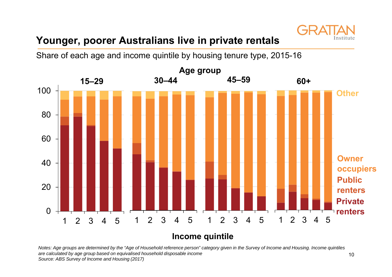

### **Younger, poorer Australians live in private rentals**

Share of each age and income quintile by housing tenure type, 2015-16



**Income quintile**

*Notes: Age groups are determined by the "Age of Household reference person" category given in the Survey of Income and Housing. Income quintiles are calculated by age group based on equivalised household disposable income Source: ABS Survey of Income and Housing (2017)*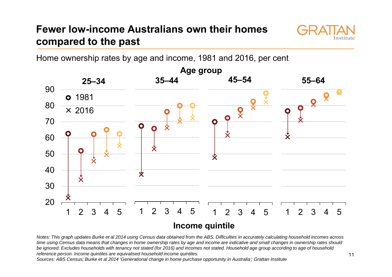### **Fewer low-income Australians own their homes compared to the past**



Home ownership rates by age and income, 1981 and 2016, per cent



*Notes: This graph updates Burke et al 2014 using Census data obtained from the ABS. Difficulties in accurately calculating household incomes across time using Census data means that changes in home ownership rates by age and income are indicative and small changes in ownership rates should*  be ignored. Excludes households with tenancy not stated (for 2016) and incomes not stated. Household age group according to age of household *reference person. Income quintiles are equivalised household income quintiles.* 

*Sources: ABS Census; Burke et al 2014 'Generational change in home purchase opportunity in Australia'; Grattan Institute*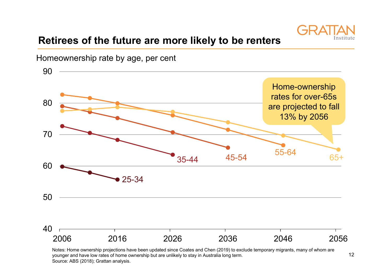

### **Retirees of the future are more likely to be renters**



Notes: Home ownership projections have been updated since Coates and Chen (2019) to exclude temporary migrants, many of whom are younger and have low rates of home ownership but are unlikely to stay in Australia long term. Source: ABS (2018); Grattan analysis.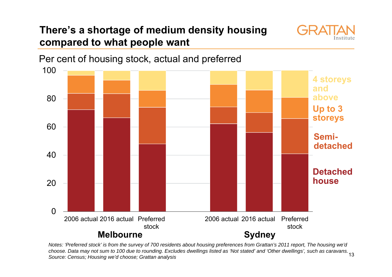### **There's a shortage of medium density housing compared to what people want**





13 *choose. Data may not sum to 100 due to rounding. Excludes dwellings listed as 'Not stated' and 'Other dwellings', such as caravans. Notes: 'Preferred stock' is from the survey of 700 residents about housing preferences from Grattan's 2011 report, The housing we'd Source: Census; Housing we'd choose; Grattan analysis*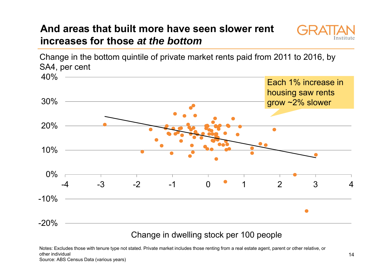### **And areas that built more have seen slower rent increases for those** *at the bottom*



Change in the bottom quintile of private market rents paid from 2011 to 2016, by SA4, per cent



Change in dwelling stock per 100 people

Notes: Excludes those with tenure type not stated. Private market includes those renting from a real estate agent, parent or other relative, or other individual Source: ABS Census Data (various years)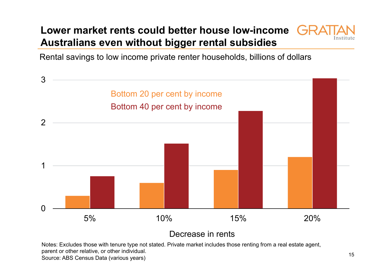### **Lower market rents could better house low-income Australians even without bigger rental subsidies**



Rental savings to low income private renter households, billions of dollars



Decrease in rents

Notes: Excludes those with tenure type not stated. Private market includes those renting from a real estate agent, parent or other relative, or other individual. Source: ABS Census Data (various years)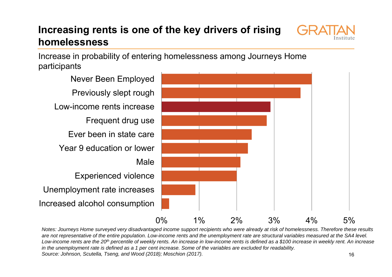### **Increasing rents is one of the key drivers of rising homelessness**



Increase in probability of entering homelessness among Journeys Home participants

Increased alcohol consumption Unemployment rate increases Experienced violence MaleYear 9 education or lowerEver been in state careFrequent drug use Low-income rents increasePreviously slept rough Never Been Employed



16*Notes: Journeys Home surveyed very disadvantaged income support recipients who were already at risk of homelessness. Therefore these results*  are not representative of the entire population. Low-income rents and the unemployment rate are structural variables measured at the SA4 level. Low-income rents are the 20<sup>th</sup> percentile of weekly rents. An increase in low-income rents is defined as a \$100 increase in weekly rent. An increase *in the unemployment rate is defined as a 1 per cent increase. Some of the variables are excluded for readability. Source: Johnson, Scutella, Tseng, and Wood (2018); Moschion (2017).*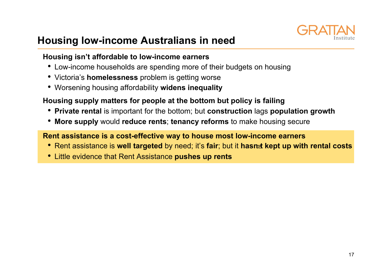

### **Housing low-income Australians in need**

#### **Housing isn't affordable to low-income earners**

- Low-income households are spending more of their budgets on housing
- Victoria's **homelessness** problem is getting worse
- Worsening housing affordability **widens inequality**

#### **Housing supply matters for people at the bottom but policy is failing**

- **Private rental** is important for the bottom; but **construction** lags **population growth**
- **More supply** would **reduce rents**; **tenancy reforms** to make housing secure

#### **Rent assistance is a cost-effective way to house most low-income earners**

- Rent assistance is **well targeted** by need; it's **fair**; but it **hasnt kept up with rental costs**
- Little evidence that Rent Assistance **pushes up rents**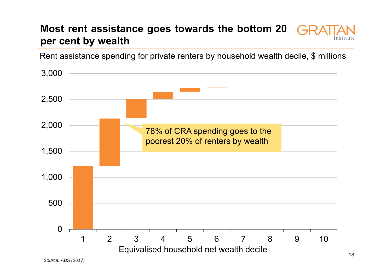### **Most rent assistance goes towards the bottom 20 per cent by wealth**

Rent assistance spending for private renters by household wealth decile, \$ millions

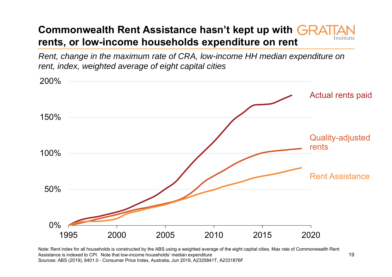### **Commonwealth Rent Assistance hasn't kept up with rents, or low-income households expenditure on rent**

*Rent, change in the maximum rate of CRA, low-income HH median expenditure on rent, index, weighted average of eight capital cities*



Note: Rent index for all households is constructed by the ABS using a weighted average of the eight capital cities. Max rate of Commonwealth Rent Assistance is indexed to CPI. Note that low-income households' median expenditure Sources: ABS (2019), 6401.0 - Consumer Price Index, Australia, Jun 2019, A2325841T, A2331876F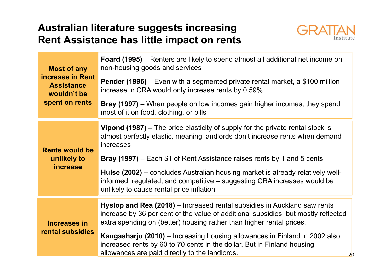### **Australian literature suggests increasing Rent Assistance has little impact on rents**



| <b>Most of any</b><br>increase in Rent<br><b>Assistance</b><br>wouldn't be<br>spent on rents | <b>Foard (1995)</b> – Renters are likely to spend almost all additional net income on<br>non-housing goods and services                                                                                                                |
|----------------------------------------------------------------------------------------------|----------------------------------------------------------------------------------------------------------------------------------------------------------------------------------------------------------------------------------------|
|                                                                                              | <b>Pender (1996)</b> – Even with a segmented private rental market, a \$100 million<br>increase in CRA would only increase rents by 0.59%                                                                                              |
|                                                                                              | <b>Bray (1997)</b> – When people on low incomes gain higher incomes, they spend<br>most of it on food, clothing, or bills                                                                                                              |
| <b>Rents would be</b><br>unlikely to<br><i>increase</i>                                      | Vipond (1987) – The price elasticity of supply for the private rental stock is<br>almost perfectly elastic, meaning landlords don't increase rents when demand<br>increases                                                            |
|                                                                                              | <b>Bray (1997)</b> – Each \$1 of Rent Assistance raises rents by 1 and 5 cents                                                                                                                                                         |
|                                                                                              | Hulse (2002) – concludes Australian housing market is already relatively well-<br>informed, regulated, and competitive – suggesting CRA increases would be<br>unlikely to cause rental price inflation                                 |
| <b>Increases in</b><br>rental subsidies                                                      |                                                                                                                                                                                                                                        |
|                                                                                              | Hyslop and Rea (2018) – Increased rental subsidies in Auckland saw rents<br>increase by 36 per cent of the value of additional subsidies, but mostly reflected<br>extra spending on (better) housing rather than higher rental prices. |
|                                                                                              | Kangasharju (2010) – Increasing housing allowances in Finland in 2002 also<br>increased rents by 60 to 70 cents in the dollar. But in Finland housing<br>allowances are paid directly to the landlords.                                |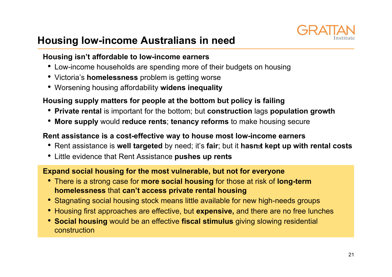

### **Housing low-income Australians in need**

#### **Housing isn't affordable to low-income earners**

- Low-income households are spending more of their budgets on housing
- Victoria's **homelessness** problem is getting worse
- Worsening housing affordability **widens inequality**

#### **Housing supply matters for people at the bottom but policy is failing**

- **Private rental** is important for the bottom; but **construction** lags **population growth**
- **More supply** would **reduce rents**; **tenancy reforms** to make housing secure

#### **Rent assistance is a cost-effective way to house most low-income earners**

- Rent assistance is **well targeted** by need; it's **fair**; but it **hasnt kept up with rental costs**
- Little evidence that Rent Assistance **pushes up rents**

#### **Expand social housing for the most vulnerable, but not for everyone**

- There is a strong case for **more social housing** for those at risk of **long-term homelessness** that **can't access private rental housing**
- Stagnating social housing stock means little available for new high-needs groups
- Housing first approaches are effective, but **expensive,** and there are no free lunches
- **Social housing** would be an effective **fiscal stimulus** giving slowing residential construction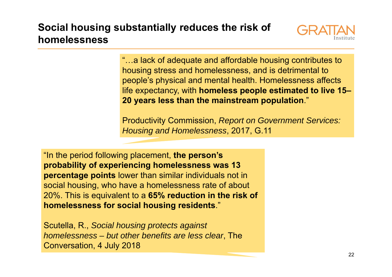### **Social housing substantially reduces the risk of homelessness**



"…a lack of adequate and affordable housing contributes to housing stress and homelessness, and is detrimental to people's physical and mental health. Homelessness affects life expectancy, with **homeless people estimated to live 15– 20 years less than the mainstream population**."

Productivity Commission, *Report on Government Services: Housing and Homelessness*, 2017, G.11

"In the period following placement, **the person's probability of experiencing homelessness was 13 percentage points** lower than similar individuals not in social housing, who have a homelessness rate of about 20%. This is equivalent to a **65% reduction in the risk of homelessness for social housing residents**."

Scutella, R., *Social housing protects against homelessness – but other benefits are less clear*, The Conversation, 4 July 2018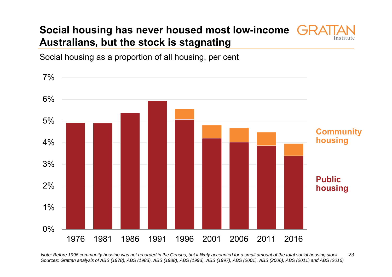### **Social housing has never housed most low-income Australians, but the stock is stagnating**



Social housing as a proportion of all housing, per cent



23 *Note: Before 1996 community housing was not recorded in the Census, but it likely accounted for a small amount of the total social housing stock. Sources: Grattan analysis of ABS (1978), ABS (1983), ABS (1988), ABS (1993), ABS (1997), ABS (2001), ABS (2006), ABS (2011) and ABS (2016)*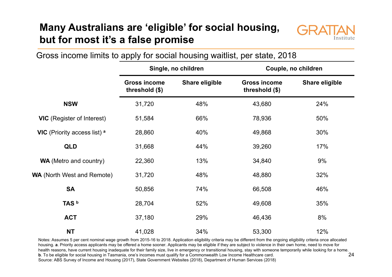### **Many Australians are 'eligible' for social housing, but for most it's a false promise**



Gross income limits to apply for social housing waitlist, per state, 2018

|                                         | Single, no children                   |                       | Couple, no children                   |                       |
|-----------------------------------------|---------------------------------------|-----------------------|---------------------------------------|-----------------------|
|                                         | <b>Gross income</b><br>threshold (\$) | <b>Share eligible</b> | <b>Gross income</b><br>threshold (\$) | <b>Share eligible</b> |
| <b>NSW</b>                              | 31,720                                | 48%                   | 43,680                                | 24%                   |
| <b>VIC</b> (Register of Interest)       | 51,584                                | 66%                   | 78,936                                | 50%                   |
| VIC (Priority access list) <sup>a</sup> | 28,860                                | 40%                   | 49,868                                | 30%                   |
| <b>QLD</b>                              | 31,668                                | 44%                   | 39,260                                | 17%                   |
| <b>WA</b> (Metro and country)           | 22,360                                | 13%                   | 34,840                                | 9%                    |
| <b>WA</b> (North West and Remote)       | 31,720                                | 48%                   | 48,880                                | 32%                   |
| <b>SA</b>                               | 50,856                                | 74%                   | 66,508                                | 46%                   |
| TAS <sup>b</sup>                        | 28,704                                | 52%                   | 49,608                                | 35%                   |
| <b>ACT</b>                              | 37,180                                | 29%                   | 46,436                                | 8%                    |
| <b>NT</b>                               | 41,028                                | 34%                   | 53,300                                | 12%                   |

24 Notes: Assumes 5 per cent nominal wage growth from 2015-16 to 2018. Application eligibility criteria may be different from the ongoing eligibility criteria once allocated housing. **a**. Priority access applicants may be offered a home sooner. Applicants may be eligible if they are subject to violence in their own home, need to move for health reasons, have current housing inadequate for their family size, live in emergency or transitional housing, stay with someone temporarily while looking for a home. **b**. To be eligible for social housing in Tasmania, one's incomes must qualify for a Commonwealth Low Income Healthcare card. Source: ABS Survey of Income and Housing (2017), State Government Websites (2018), Department of Human Services (2018)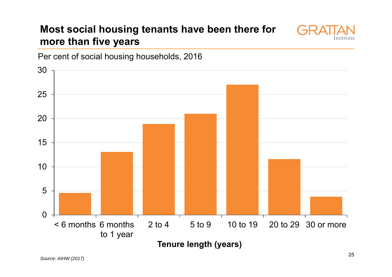### **Most social housing tenants have been there for more than five years**





Per cent of social housing households, 2016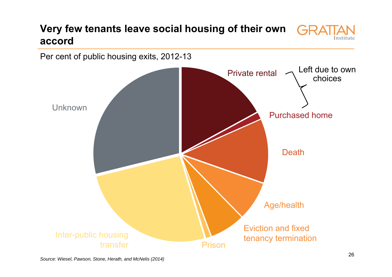#### **Very few tenants leave social housing of their own**   $G \cup C$ **accord**



Per cent of public housing exits, 2012-13

*Source: Wiesel, Pawson, Stone, Herath, and McNelis (2014)*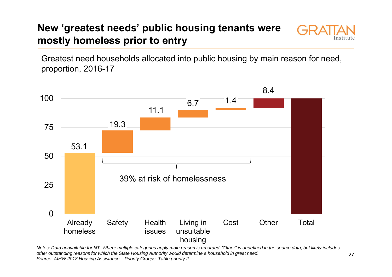### **New 'greatest needs' public housing tenants were mostly homeless prior to entry**



Greatest need households allocated into public housing by main reason for need, proportion, 2016-17



*Notes: Data unavailable for NT. Where multiple categories apply main reason is recorded. "Other" is undefined in the source data, but likely includes other outstanding reasons for which the State Housing Authority would determine a household in great need. Source: AIHW 2018 Housing Assistance – Priority Groups. Table priority.2*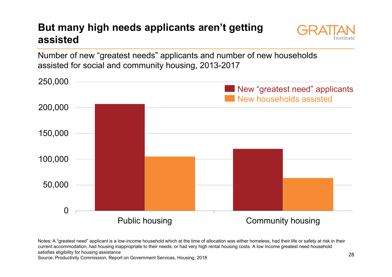### **But many high needs applicants aren't getting assisted**



Number of new "greatest needs" applicants and number of new households assisted for social and community housing, 2013-2017



Notes: A "greatest need" applicant is a low-income household which at the time of allocation was either homeless, had their life or safety at risk in their current accommodation, had housing inappropriate to their needs, or had very high rental housing costs. A low income greatest need household satisfies eligibility for housing assistance

Source: Productivity Commission, Report on Government Services, Housing, 2018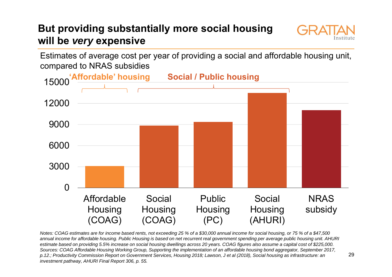### **But providing substantially more social housing will be** *very* **expensive**



Estimates of average cost per year of providing a social and affordable housing unit, compared to NRAS subsidies



*Notes: COAG estimates are for income based rents, not exceeding 25 % of a \$30,000 annual income for social housing, or 75 % of a \$47,500 annual income for affordable housing. Public Housing is based on net recurrent real government spending per average public housing unit. AHURI estimate based on providing 5.5% increase on social housing dwellings across 20 years. COAG figures also assume a capital cost of \$225,000. Sources: COAG Affordable Housing Working Group, Supporting the implementation of an affordable housing bond aggregator, September 2017, p.12.; Productivity Commission Report on Government Services, Housing 2018; Lawson, J et al (2018), Social housing as infrastructure: an investment pathway, AHURI Final Report 306, p. 55.*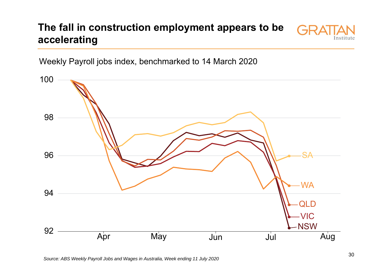### **The fall in construction employment appears to be accelerating**



Weekly Payroll jobs index, benchmarked to 14 March 2020

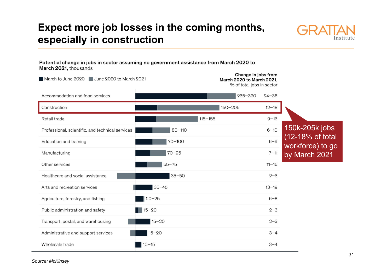### **Expect more job losses in the coming months, especially in construction**



Potential change in jobs in sector assuming no government assistance from March 2020 to March 2021, thousands

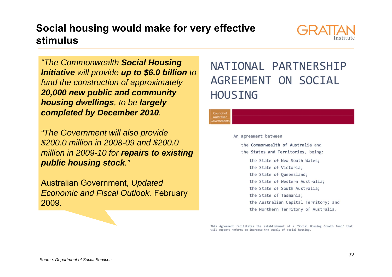### **Social housing would make for very effective stimulus**



*"The Commonwealth Social Housing Initiative will provide up to \$6.0 billion to fund the construction of approximately 20,000 new public and community housing dwellings, to be largely completed by December 2010.*

*"The Government will also provide \$200.0 million in 2008-09 and \$200.0 million in 2009-10 for repairs to existing public housing stock."* 

Australian Government, *Updated Economic and Fiscal Outlook,* February 2009.

# NATIONAL PARTNERSHIP AGREEMENT ON SOCIAL **HOUSING**

#### Council o Australiar sovernmen

#### An agreement between

the Commonwealth of Australia and the States and Territories, being: the State of New South Wales; the State of Victoria; the State of Oueensland; the State of Western Australia; the State of South Australia: the State of Tasmania; the Australian Capital Territory; and the Northern Territory of Australia.

This Agreement facilitates the establishment of a 'Social Housing Growth Fund' that will support reforms to increase the supply of social housing.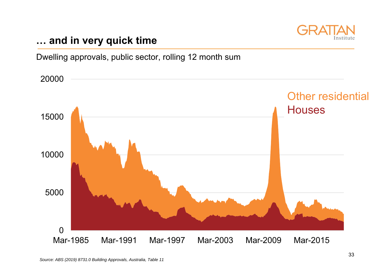

### **… and in very quick time**

Dwelling approvals, public sector, rolling 12 month sum

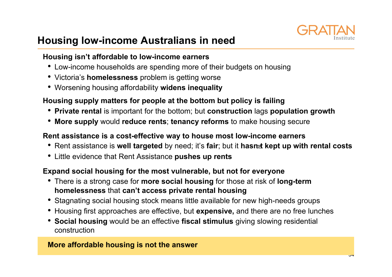

### **Housing low-income Australians in need**

### **Housing isn't affordable to low-income earners**

- Low-income households are spending more of their budgets on housing
- Victoria's **homelessness** problem is getting worse
- Worsening housing affordability **widens inequality**

### **Housing supply matters for people at the bottom but policy is failing**

- **Private rental** is important for the bottom; but **construction** lags **population growth**
- **More supply** would **reduce rents**; **tenancy reforms** to make housing secure

#### **Rent assistance is a cost-effective way to house most low-income earners**

- Rent assistance is **well targeted** by need; it's **fair**; but it **hasnt kept up with rental costs**
- Little evidence that Rent Assistance **pushes up rents**

### **Expand social housing for the most vulnerable, but not for everyone**

- There is a strong case for **more social housing** for those at risk of **long-term homelessness** that **can't access private rental housing**
- Stagnating social housing stock means little available for new high-needs groups
- Housing first approaches are effective, but **expensive,** and there are no free lunches
- **Social housing** would be an effective **fiscal stimulus** giving slowing residential construction

#### **More affordable housing is not the answer**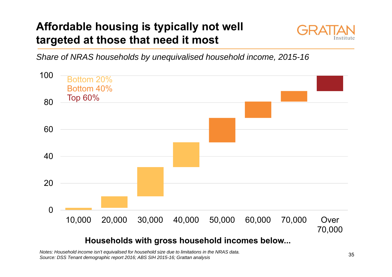# **Affordable housing is typically not well targeted at those that need it most**



*Share of NRAS households by unequivalised household income, 2015-16*



### **Households with gross household incomes below...**

*Notes: Household income isn't equivalised for household size due to limitations in the NRAS data. Source: DSS Tenant demographic report 2016; ABS SIH 2015-16; Grattan analysis*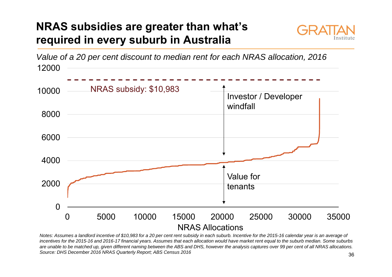### **NRAS subsidies are greater than what's required in every suburb in Australia**





*Notes: Assumes a landlord incentive of \$10,983 for a 20 per cent rent subsidy in each suburb. Incentive for the 2015-16 calendar year is an average of incentives for the 2015-16 and 2016-17 financial years. Assumes that each allocation would have market rent equal to the suburb median. Some suburbs are unable to be matched up, given different naming between the ABS and DHS, however the analysis captures over 99 per cent of all NRAS allocations. Source: DHS December 2016 NRAS Quarterly Report; ABS Census 2016*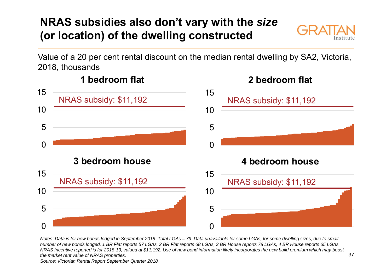# **NRAS subsidies also don't vary with the** *size* **(or location) of the dwelling constructed**



Value of a 20 per cent rental discount on the median rental dwelling by SA2, Victoria, 2018, thousands



*Notes: Data is for new bonds lodged in September 2018. Total LGAs = 79. Data unavailable for some LGAs, for some dwelling sizes, due to small number of new bonds lodged. 1 BR Flat reports 57 LGAs, 2 BR Flat reports 68 LGAs, 3 BR House reports 78 LGAs, 4 BR House reports 65 LGAs. NRAS Incentive reported is for 2018-19, valued at \$11,192. Use of new bond information likely incorporates the new build premium which may boost the market rent value of NRAS properties.* 

#### *Source: Victorian Rental Report September Quarter 2018.*

### **2 bedroom flat**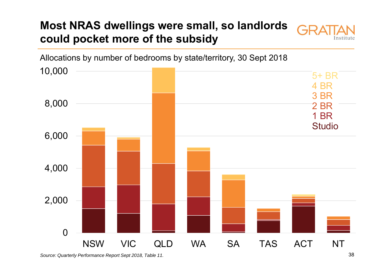### **Most NRAS dwellings were small, so landlords could pocket more of the subsidy**





*Source: Quarterly Performance Report Sept 2018, Table 11.* 38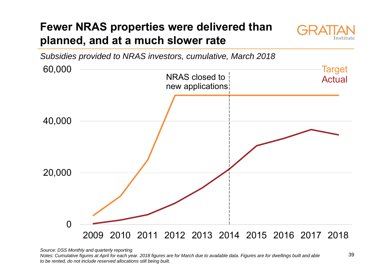# **Fewer NRAS properties were delivered than planned, and at a much slower rate**



*Subsidies provided to NRAS investors, cumulative, March 2018* 60,000



*Source: DSS Monthly and quarterly reporting*

*Notes: Cumulative figures at April for each year. 2018 figures are for March due to available data. Figures are for dwellings built and able to be rented, do not include reserved allocations still being built.*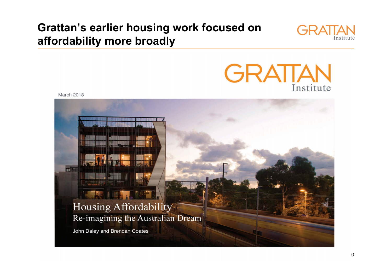### **Grattan's earlier housing work focused on affordability more broadly**





March 2018

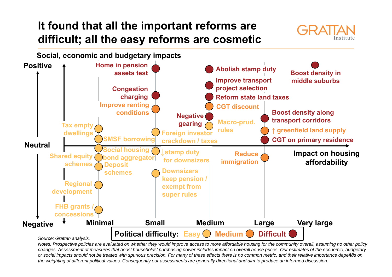### **It found that all the important reforms are difficult; all the easy reforms are cosmetic**





or social impacts should not be treated with spurious precision. For many of these effects there is no common metric, and their relative importance depe**Ad**'s on *Notes: Prospective policies are evaluated on whether they would improve access to more affordable housing for the community overall, assuming no other policy changes. Assessment of measures that boost households' purchasing power includes impact on overall house prices. Our estimates of the economic, budgetary the weighting of different political values. Consequently our assessments are generally directional and aim to produce an informed discussion.*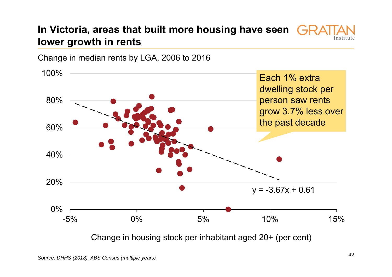### **In Victoria, areas that built more housing have seen lower growth in rents**



Change in median rents by LGA, 2006 to 2016

Change in housing stock per inhabitant aged 20+ (per cent)